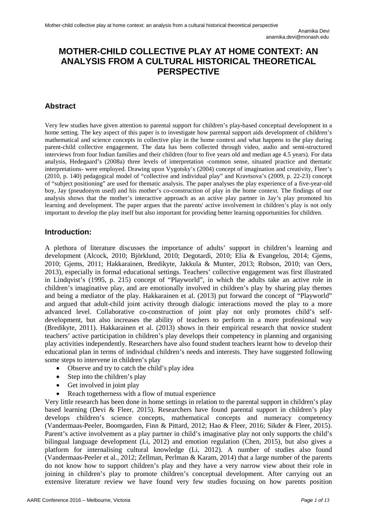# **MOTHER-CHILD COLLECTIVE PLAY AT HOME CONTEXT: AN ANALYSIS FROM A CULTURAL HISTORICAL THEORETICAL PERSPECTIVE**

# **Abstract**

Very few studies have given attention to parental support for children's play-based conceptual development in a home setting. The key aspect of this paper is to investigate how parental support aids development of children's mathematical and science concepts in collective play in the home context and what happens to the play during parent-child collective engagement. The data has been collected through video, audio and semi-structured interviews from four Indian families and their children (four to five years old and median age 4.5 years). For data analysis, Hedegaard's (2008a) three levels of interpretation -common sense, situated practice and thematic interpretations- were employed. Drawing upon Vygotsky's (2004) concept of imagination and creativity, Fleer's (2010, p. 140) pedagogical model of "collective and individual play" and Kravtsova's (2009, p. 22-23) concept of "subject positioning" are used for thematic analysis. The paper analyses the play experience of a five-year-old boy, Jay (pseudonym used) and his mother's co-construction of play in the home context. The findings of our analysis shows that the mother's interactive approach as an active play partner in Jay's play promoted his learning and development. The paper argues that the parents' active involvement in children's play is not only important to develop the play itself but also important for providing better learning opportunities for children.

## **Introduction:**

A plethora of literature discusses the importance of adults' support in children's learning and development (Alcock, 2010; Björklund, 2010; Degotardi, 2010; Elia & Evangelou, 2014; Gjems, 2010; Gjems, 2011; Hakkarainen, Bredikyte, Jakkula & Munter, 2013; Robson, 2010; van Oers, 2013), especially in formal educational settings. Teachers' collective engagement was first illustrated in Lindqvist's (1995, p. 215) concept of "Playworld", in which the adults take an active role in children's imaginative play, and are emotionally involved in children's play by sharing play themes and being a mediator of the play. Hakkarainen et al. (2013) put forward the concept of "Playworld" and argued that adult-child joint activity through dialogic interactions moved the play to a more advanced level. Collaborative co-construction of joint play not only promotes child's selfdevelopment, but also increases the ability of teachers to perform in a more professional way (Bredikyte, 2011). Hakkarainen et al. (2013) shows in their empirical research that novice student teachers' active participation in children's play develops their competency in planning and organising play activities independently. Researchers have also found student teachers learnt how to develop their educational plan in terms of individual children's needs and interests. They have suggested following some steps to intervene in children's play

- Observe and try to catch the child's play idea
- Step into the children's play
- Get involved in joint play
- Reach togetherness with a flow of mutual experience

Very little research has been done in home settings in relation to the parental support in children's play based learning (Devi & Fleer, 2015). Researchers have found parental support in children's play develops children's science concepts, mathematical concepts and numeracy competency (Vandermaas-Peeler, Boomgarden, Finn & Pittard, 2012; Hao & Fleer, 2016; Sikder & Fleer, 2015). Parent's active involvement as a play partner in child's imaginative play not only supports the child's bilingual language development (Li, 2012) and emotion regulation (Chen, 2015), but also gives a platform for internalising cultural knowledge (Li, 2012). A number of studies also found (Vandermaas-Peeler et al., 2012; Zellman, Perlman & Karam, 2014) that a large number of the parents do not know how to support children's play and they have a very narrow view about their role in joining in children's play to promote children's conceptual development. After carrying out an extensive literature review we have found very few studies focusing on how parents position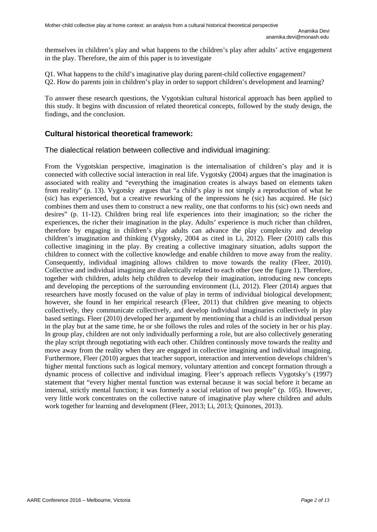themselves in children's play and what happens to the children's play after adults' active engagement in the play. Therefore, the aim of this paper is to investigate

Q1. What happens to the child's imaginative play during parent-child collective engagement? Q2. How do parents join in children's play in order to support children's development and learning?

To answer these research questions, the Vygotskian cultural historical approach has been applied to this study. It begins with discussion of related theoretical concepts, followed by the study design, the findings, and the conclusion.

### **Cultural historical theoretical framework:**

The dialectical relation between collective and individual imagining:

From the Vygotskian perspective, imagination is the internalisation of children's play and it is connected with collective social interaction in real life. Vygotsky (2004) argues that the imagination is associated with reality and "everything the imagination creates is always based on elements taken from reality" (p. 13). Vygotsky argues that "a child's play is not simply a reproduction of what he (sic) has experienced, but a creative reworking of the impressions he (sic) has acquired. He (sic) combines them and uses them to construct a new reality, one that conforms to his (sic) own needs and desires" (p. 11-12). Children bring real life experiences into their imagination; so the richer the experiences, the richer their imagination in the play. Adults' experience is much richer than children, therefore by engaging in children's play adults can advance the play complexity and develop children's imagination and thinking (Vygotsky, 2004 as cited in Li, 2012). Fleer (2010) calls this collective imagining in the play. By creating a collective imaginary situation, adults support the children to connect with the collective knowledge and enable children to move away from the reality. Consequently, individual imagining allows children to move towards the reality (Fleer, 2010). Collective and individual imagining are dialectically related to each other (see the figure 1). Therefore, together with children, adults help children to develop their imagination, introducing new concepts and developing the perceptions of the surrounding environment (Li, 2012). Fleer (2014) argues that researchers have mostly focused on the value of play in terms of individual biological development; however, she found in her empirical research (Fleer, 2011) that children give meaning to objects collectively, they communicate collectively, and develop individual imaginaries collectively in play based settings. Fleer (2010) developed her argument by mentioning that a child is an individual person in the play but at the same time, he or she follows the rules and roles of the society in her or his play. In group play, children are not only individually performing a role, but are also collectively generating the play script through negotiating with each other. Children continously move towards the reality and move away from the reality when they are engaged in collective imagining and individual imagining. Furthermore, Fleer (2010) argues that teacher support, interaction and intervention develops children's higher mental functions such as logical memory, voluntary attention and concept formation through a dynamic process of collective and individual imaging. Fleer's approach reflects Vygotsky's (1997) statement that "every higher mental function was external because it was social before it became an internal, strictly mental function; it was formerly a social relation of two people" (p. 105). However, very little work concentrates on the collective nature of imaginative play where children and adults work together for learning and development (Fleer, 2013; Li, 2013; Quinones, 2013).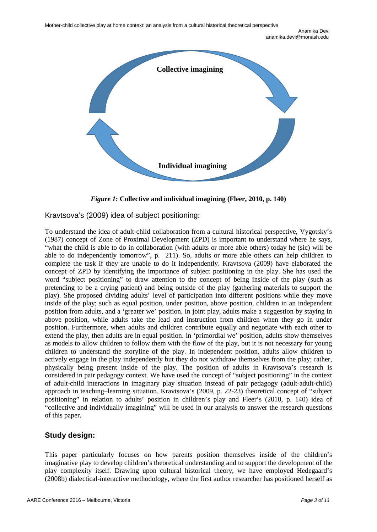

*Figure 1***: Collective and individual imagining (Fleer, 2010, p. 140)**

Kravtsova's (2009) idea of subject positioning:

To understand the idea of adult-child collaboration from a cultural historical perspective, Vygotsky's (1987) concept of Zone of Proximal Development (ZPD) is important to understand where he says, "what the child is able to do in collaboration (with adults or more able others) today he (sic) will be able to do independently tomorrow", p. 211). So, adults or more able others can help children to complete the task if they are unable to do it independently. Kravtsova (2009) have elaborated the concept of ZPD by identifying the importance of subject positioning in the play. She has used the word "subject positioning" to draw attention to the concept of being inside of the play (such as pretending to be a crying patient) and being outside of the play (gathering materials to support the play). She proposed dividing adults' level of participation into different positions while they move inside of the play; such as equal position, under position, above position, children in an independent position from adults, and a 'greater we' position. In joint play, adults make a suggestion by staying in above position, while adults take the lead and instruction from children when they go in under position. Furthermore, when adults and children contribute equally and negotiate with each other to extend the play, then adults are in equal position. In 'primordial we' position, adults show themselves as models to allow children to follow them with the flow of the play, but it is not necessary for young children to understand the storyline of the play. In independent position, adults allow children to actively engage in the play independently but they do not withdraw themselves from the play; rather, physically being present inside of the play. The position of adults in Kravtsova's research is considered in pair pedagogy context. We have used the concept of "subject positioning" in the context of adult-child interactions in imaginary play situation instead of pair pedagogy (adult-adult-child) approach in teaching–learning situation. Kravtsova's (2009, p. 22-23) theoretical concept of "subject positioning" in relation to adults' position in children's play and Fleer's (2010, p. 140) idea of "collective and individually imagining" will be used in our analysis to answer the research questions of this paper.

# **Study design:**

This paper particularly focuses on how parents position themselves inside of the children's imaginative play to develop children's theoretical understanding and to support the development of the play complexity itself. Drawing upon cultural historical theory, we have employed Hedegaard's (2008b) dialectical-interactive methodology, where the first author researcher has positioned herself as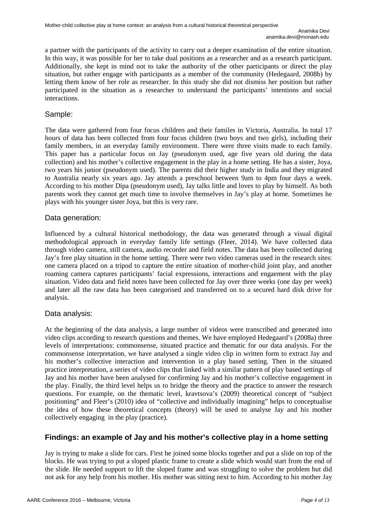a partner with the participants of the activity to carry out a deeper examination of the entire situation. In this way, it was possible for her to take dual positions as a researcher and as a research participant. Additionally, she kept in mind not to take the authority of the other participants or direct the play situation, but rather engage with participants as a member of the community (Hedegaard, 2008b) by letting them know of her role as researcher. In this study she did not dismiss her position but rather participated in the situation as a researcher to understand the participants' intentions and social interactions.

#### Sample:

The data were gathered from four focus children and their familes in Victoria, Australia. In total 17 hours of data has been collected from four focus children (two boys and two girls), including their family members, in an everyday family environment. There were three visits made to each family. This paper has a particular focus on Jay (pseudonym used, age five years old during the data collection) and his mother's collective engagement in the play in a home setting. He has a sister, Joya, two years his junior (pseudonym used). The parents did their higher study in India and they migrated to Australia nearly six years ago. Jay attends a preschool between 9am to 4pm four days a week. According to his mother Dipa (pseudonym used), Jay talks little and loves to play by himself. As both parents work they cannot get much time to involve themselves in Jay's play at home. Sometimes he plays with his younger sister Joya, but this is very rare.

#### Data generation:

Influenced by a cultural historical methodology, the data was generated through a visual digital methodological approach in everyday family life settings (Fleer, 2014). We have collected data through video camera, still camera, audio recorder and field notes. The data has been collected during Jay's free play situation in the home setting. There were two video cameras used in the research sites: one camera placed on a tripod to capture the entire situation of mother-child joint play, and another roaming camera captures participants' facial expressions, interactions and engaement with the play situation. Video data and field notes have been collected for Jay over three weeks (one day per week) and later all the raw data has been categorised and transferred on to a secured hard disk drive for analysis.

### Data analysis:

At the beginning of the data analysis, a large number of videos were transcribed and generated into video clips according to research questions and themes. We have employed Hedegaard's (2008a) three levels of interpretations: commonsense, situated practice and thematic for our data analysis. For the commonsense interpretation, we have analysed a single video clip in written form to extract Jay and his mother's collective interaction and intervention in a play based setting. Then in the situated practice interpretation, a series of video clips that linked with a similar pattern of play based settings of Jay and his mother have been analysed for confirming Jay and his mother's collective engagement in the play. Finally, the third level helps us to bridge the theory and the practice to answer the research questions. For example, on the thematic level, kravtsova's (2009) theoretical concept of "subject positioning" and Fleer's (2010) idea of "collective and individually imagining" helps to conceptualise the idea of how these theoretical concepts (theory) will be used to analyse Jay and his mother collectively engaging in the play (practice).

### **Findings: an example of Jay and his mother's collective play in a home setting**

Jay is trying to make a slide for cars. First he joined some blocks together and put a slide on top of the blocks. He was trying to put a sloped plastic frame to create a slide which would start from the end of the slide. He needed support to lift the sloped frame and was struggling to solve the problem but did not ask for any help from his mother. His mother was sitting next to him. According to his mother Jay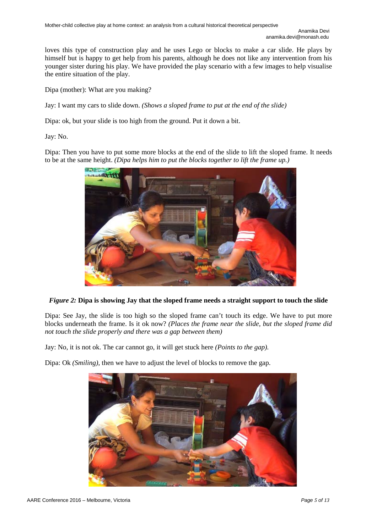loves this type of construction play and he uses Lego or blocks to make a car slide. He plays by himself but is happy to get help from his parents, although he does not like any intervention from his younger sister during his play. We have provided the play scenario with a few images to help visualise the entire situation of the play.

Dipa (mother): What are you making?

Jay: I want my cars to slide down. *(Shows a sloped frame to put at the end of the slide)*

Dipa: ok, but your slide is too high from the ground. Put it down a bit.

Jay: No.

Dipa: Then you have to put some more blocks at the end of the slide to lift the sloped frame. It needs to be at the same height. *(Dipa helps him to put the blocks together to lift the frame up.)*



### *Figure 2:* **Dipa is showing Jay that the sloped frame needs a straight support to touch the slide**

Dipa: See Jay, the slide is too high so the sloped frame can't touch its edge. We have to put more blocks underneath the frame. Is it ok now? *(Places the frame near the slide, but the sloped frame did not touch the slide properly and there was a gap between them)*

Jay: No, it is not ok. The car cannot go, it will get stuck here *(Points to the gap).*

Dipa: Ok *(Smiling)*, then we have to adjust the level of blocks to remove the gap.

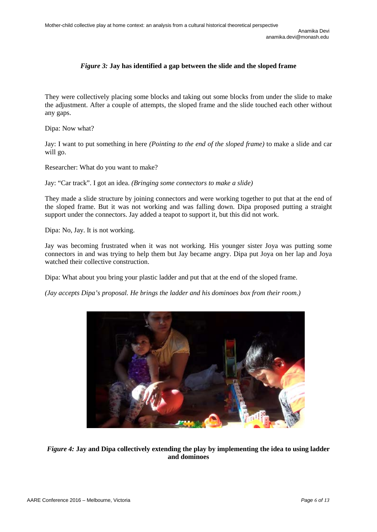### *Figure 3:* **Jay has identified a gap between the slide and the sloped frame**

They were collectively placing some blocks and taking out some blocks from under the slide to make the adjustment. After a couple of attempts, the sloped frame and the slide touched each other without any gaps.

Dipa: Now what?

Jay: I want to put something in here *(Pointing to the end of the sloped frame)* to make a slide and car will go.

Researcher: What do you want to make?

Jay: "Car track". I got an idea. *(Bringing some connectors to make a slide)*

They made a slide structure by joining connectors and were working together to put that at the end of the sloped frame. But it was not working and was falling down. Dipa proposed putting a straight support under the connectors. Jay added a teapot to support it, but this did not work.

Dipa: No, Jay. It is not working.

Jay was becoming frustrated when it was not working. His younger sister Joya was putting some connectors in and was trying to help them but Jay became angry. Dipa put Joya on her lap and Joya watched their collective construction.

Dipa: What about you bring your plastic ladder and put that at the end of the sloped frame.

*(Jay accepts Dipa's proposal. He brings the ladder and his dominoes box from their room.)*



*Figure 4:* **Jay and Dipa collectively extending the play by implementing the idea to using ladder and dominoes**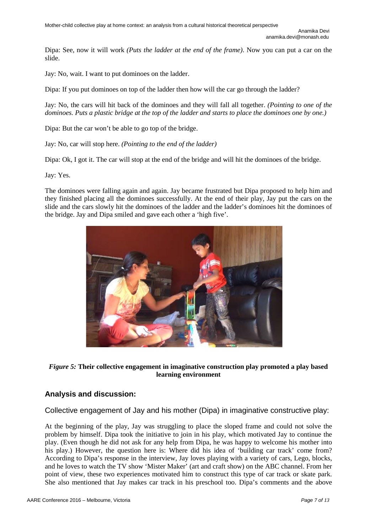Dipa: See, now it will work *(Puts the ladder at the end of the frame)*. Now you can put a car on the slide.

Jay: No, wait. I want to put dominoes on the ladder.

Dipa: If you put dominoes on top of the ladder then how will the car go through the ladder?

Jay: No, the cars will hit back of the dominoes and they will fall all together. *(Pointing to one of the dominoes. Puts a plastic bridge at the top of the ladder and starts to place the dominoes one by one.)*

Dipa: But the car won't be able to go top of the bridge.

Jay: No, car will stop here. *(Pointing to the end of the ladder)*

Dipa: Ok, I got it. The car will stop at the end of the bridge and will hit the dominoes of the bridge.

Jay: Yes.

The dominoes were falling again and again. Jay became frustrated but Dipa proposed to help him and they finished placing all the dominoes successfully. At the end of their play, Jay put the cars on the slide and the cars slowly hit the dominoes of the ladder and the ladder's dominoes hit the dominoes of the bridge. Jay and Dipa smiled and gave each other a 'high five'.



#### *Figure 5:* **Their collective engagement in imaginative construction play promoted a play based learning environment**

### **Analysis and discussion:**

Collective engagement of Jay and his mother (Dipa) in imaginative constructive play:

At the beginning of the play, Jay was struggling to place the sloped frame and could not solve the problem by himself. Dipa took the initiative to join in his play, which motivated Jay to continue the play. (Even though he did not ask for any help from Dipa, he was happy to welcome his mother into his play.) However, the question here is: Where did his idea of 'building car track' come from? According to Dipa's response in the interview, Jay loves playing with a variety of cars, Lego, blocks, and he loves to watch the TV show 'Mister Maker' (art and craft show) on the ABC channel. From her point of view, these two experiences motivated him to construct this type of car track or skate park. She also mentioned that Jay makes car track in his preschool too. Dipa's comments and the above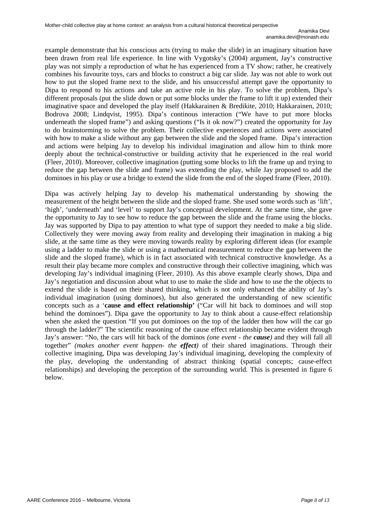example demonstrate that his conscious acts (trying to make the slide) in an imaginary situation have been drawn from real life experience. In line with Vygotsky's (2004) argument, Jay's constructive play was not simply a reproduction of what he has experienced from a TV show; rather, he creatively combines his favourite toys, cars and blocks to construct a big car slide. Jay was not able to work out how to put the sloped frame next to the slide, and his unsuccessful attempt gave the opportunity to Dipa to respond to his actions and take an active role in his play. To solve the problem, Dipa's different proposals (put the slide down or put some blocks under the frame to lift it up) extended their imaginative space and developed the play itself (Hakkarainen & Bredikite, 2010; Hakkarainen, 2010; Bodrova 2008; Lindqvist, 1995). Dipa's continous interaction ("We have to put more blocks underneath the sloped frame") and asking questions ("Is it ok now?") created the opportunity for Jay to do brainstorming to solve the problem. Their collective experiences and actions were associated with how to make a slide without any gap between the slide and the sloped frame. Dipa's interaction and actions were helping Jay to develop his individual imagination and allow him to think more deeply about the technical-constructive or building activity that he experienced in the real world (Fleer, 2010). Moreover, collective imagination (putting some blocks to lift the frame up and trying to reduce the gap between the slide and frame) was extending the play, while Jay proposed to add the dominoes in his play or use a bridge to extend the slide from the end of the sloped frame (Fleer, 2010).

Dipa was actively helping Jay to develop his mathematical understanding by showing the measurement of the height between the slide and the sloped frame. She used some words such as 'lift', 'high', 'underneath' and 'level' to support Jay's conceptual development. At the same time, she gave the opportunity to Jay to see how to reduce the gap between the slide and the frame using the blocks. Jay was supported by Dipa to pay attention to what type of support they needed to make a big slide. Collectively they were moving away from reality and developing their imagination in making a big slide, at the same time as they were moving towards reality by exploring different ideas (for example using a ladder to make the slide or using a mathematical measurement to reduce the gap between the slide and the sloped frame), which is in fact associated with technical constructive knowledge. As a result their play became more complex and constructive through their collective imagining, which was developing Jay's individual imagining (Fleer, 2010). As this above example clearly shows, Dipa and Jay's negotiation and discussion about what to use to make the slide and how to use the the objects to extend the slide is based on their shared thinking, which is not only enhanced the ability of Jay's individual imagination (using dominoes), but also generated the understanding of new scientific concepts such as a '**cause and effect relationship'** ("Car will hit back to dominoes and will stop behind the dominoes"). Dipa gave the opportunity to Jay to think about a cause-effect relationship when she asked the question "If you put dominoes on the top of the ladder then how will the car go through the ladder?" The scientific reasoning of the cause effect relationship became evident through Jay's answer: "No, the cars will hit back of the dominos *(one event - the cause)* and they will fall all together" *(makes another event happen- the effect)* of their shared imaginations. Through their collective imagining, Dipa was developing Jay's individual imagining, developing the complexity of the play, developing the understanding of abstract thinking (spatial concepts; cause-effect relationships) and developing the perception of the surrounding world. This is presented in figure 6 below.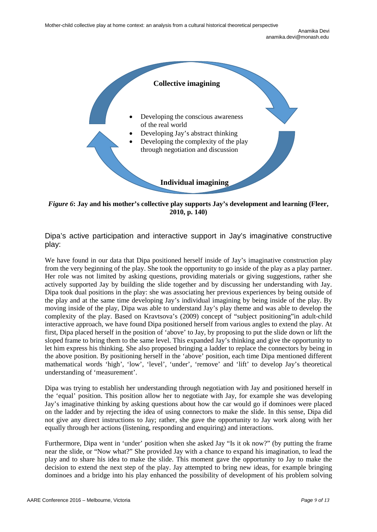

*Figure 6***: Jay and his mother's collective play supports Jay's development and learning (Fleer, 2010, p. 140)**

Dipa's active participation and interactive support in Jay's imaginative constructive play:

We have found in our data that Dipa positioned herself inside of Jay's imaginative construction play from the very beginning of the play. She took the opportunity to go inside of the play as a play partner. Her role was not limited by asking questions, providing materials or giving suggestions, rather she actively supported Jay by building the slide together and by discussing her understanding with Jay. Dipa took dual positions in the play: she was associating her previous experiences by being outside of the play and at the same time developing Jay's individual imagining by being inside of the play. By moving inside of the play, Dipa was able to understand Jay's play theme and was able to develop the complexity of the play. Based on Kravtsova's (2009) concept of "subject positioning"in adult-child interactive approach, we have found Dipa positioned herself from various angles to extend the play. At first, Dipa placed herself in the position of 'above' to Jay, by proposing to put the slide down or lift the sloped frame to bring them to the same level. This expanded Jay's thinking and give the opportunity to let him express his thinking. She also proposed bringing a ladder to replace the connectors by being in the above position. By positioning herself in the 'above' position, each time Dipa mentioned different mathematical words 'high', 'low', 'level', 'under', 'remove' and 'lift' to develop Jay's theoretical understanding of 'measurement'.

Dipa was trying to establish her understanding through negotiation with Jay and positioned herself in the 'equal' position. This position allow her to negotiate with Jay, for example she was developing Jay's imaginative thinking by asking questions about how the car would go if dominoes were placed on the ladder and by rejecting the idea of using connectors to make the slide. In this sense, Dipa did not give any direct instructions to Jay; rather, she gave the opportunity to Jay work along with her equally through her actions (listening, responding and enquiring) and interactions.

Furthermore, Dipa went in 'under' position when she asked Jay "Is it ok now?" (by putting the frame near the slide, or "Now what?" She provided Jay with a chance to expand his imagination, to lead the play and to share his idea to make the slide. This moment gave the opportunity to Jay to make the decision to extend the next step of the play. Jay attempted to bring new ideas, for example bringing dominoes and a bridge into his play enhanced the possibility of development of his problem solving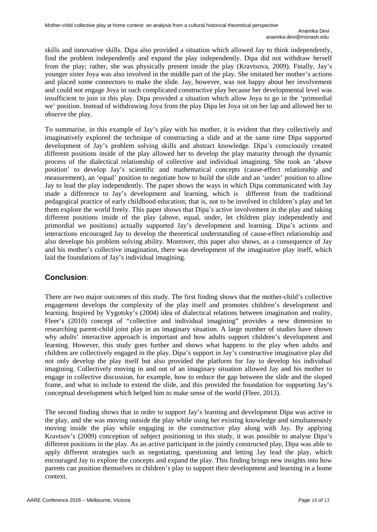skills and innovative skills. Dipa also provided a situation which allowed Jay to think independently, find the problem independently and expand the play independently. Dipa did not withdraw herself from the play; rather, she was physically present inside the play (Kravtsova, 2009). Finally, Jay's younger sister Joya was also involved in the middle part of the play. She imitated her mother's actions and placed some connectors to make the slide. Jay, however, was not happy about her involvement and could not engage Joya in such complicated constructive play because her developmental level was insufficient to join in this play. Dipa provided a situation which allow Joya to go in the 'primordial we' position. Instead of withdrawing Joya from the play Dipa let Joya sit on her lap and allowed her to observe the play.

To summarise, in this example of Jay's play with his mother, it is evident that they collectively and imaginatively explored the technique of constructing a slide and at the same time Dipa supported development of Jay's problem solving skills and abstract knowledge. Dipa's consciously created different positions inside of the play allowed her to develop the play maturity through the dynamic process of the dialectical relationship of collective and individual imagining. She took an 'above position' to develop Jay's scientific and mathematical concepts (cause-effect relationship and measurement), an 'equal' position to negotiate how to build the slide and an 'under' position to allow Jay to lead the play independently. The paper shows the ways in which Dipa communicated with Jay made a difference to Jay's development and learning, which is different from the traditional pedagogical practice of early childhood education; that is, not to be involved in children's play and let them explore the world freely. This paper shows that Dipa's active involvement in the play and taking different positions inside of the play (above, equal, under, let children play independently and primordial we positions) actually supported Jay's development and learning. Dipa's actions and interactions encouraged Jay to develop the theoretical understanding of cause-effect relationship and also develope his problem solving ability. Moreover, this paper also shows, as a consequence of Jay and his mother's collective imagination, there was development of the imaginative play itself, which laid the foundations of Jay's individual imagining.

# **Conclusion**:

There are two major outcomes of this study. The first finding shows that the mother-child's collective engagement develops the complexity of the play itself and promotes children's development and learning. Inspired by Vygotsky's (2004) idea of dialectical relations between imagination and reality, Fleer's (2010) concept of "collective and individual imagining" provides a new dimension to researching parent-child joint play in an imaginary situation. A large number of studies have shown why adults' interactive approach is important and how adults support children's development and learning. However, this study goes further and shows what happens to the play when adults and children are collectively engaged in the play. Dipa's support in Jay's constructive imaginative play did not only develop the play itself but also provided the platform for Jay to develop his individual imagining. Collectively moving in and out of an imaginary situation allowed Jay and his mother to engage in collective discussion, for example, how to reduce the gap between the slide and the sloped frame, and what to include to extend the slide, and this provided the foundation for supporting Jay's conceptual development which helped him to make sense of the world (Fleer, 2013).

The second finding shows that in order to support Jay's learning and development Dipa was active in the play, and she was moving outside the play while using her existing knowledge and simultaneously moving inside the play while engaging in the constructive play along with Jay. By applying Kravtsov's (2009) conception of subject positioning in this study, it was possible to analyse Dipa's different positions in the play. As an active participant in the jointly constructed play, Dipa was able to apply different strategies such as negotiating, questioning and letting Jay lead the play, which encouraged Jay to explore the concepts and expand the play. This finding brings new insights into how parents can position themselves in children's play to support their development and learning in a home context.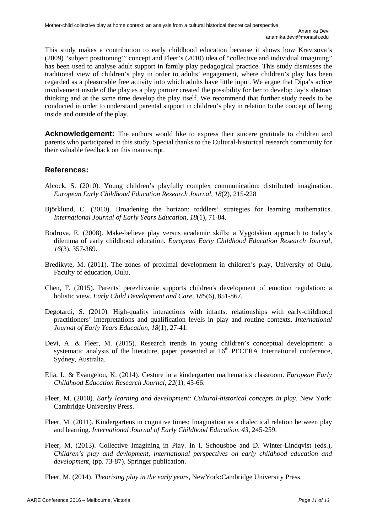This study makes a contribution to early childhood education because it shows how Kravtsova's (2009) "subject positioning'" concept and Fleer's (2010) idea of "collective and individual imagining" has been used to analyse adult support in family play pedagogical practice. This study dismisses the traditional view of children's play in order to adults' engagement, where children's play has been regarded as a pleasurable free activity into which adults have little input. We argue that Dipa's active involvement inside of the play as a play partner created the possibility for her to develop Jay's abstract thinking and at the same time develop the play itself. We recommend that further study needs to be conducted in order to understand parental support in children's play in relation to the concept of being inside and outside of the play.

**Acknowledgement:** The authors would like to express their sincere gratitude to children and parents who participated in this study. Special thanks to the Cultural-historical research community for their valuable feedback on this manuscript.

# **References:**

- Alcock, S. (2010). Young children's playfully complex communication: distributed imagination. *European Early Childhood Education Research Journal*, *18*(2), 215-228
- Björklund, C. (2010). Broadening the horizon: toddlers' strategies for learning mathematics. *International Journal of Early Years Education*, *18*(1), 71-84.
- Bodrova, E. (2008). Make-believe play versus academic skills: a Vygotskian approach to today's dilemma of early childhood education. *European Early Childhood Education Research Journal*, *16*(3), 357-369.
- Bredikyte, M. (2011). The zones of proximal development in children's play, University of Oulu, Faculty of education, Oulu.
- Chen, F. (2015). Parents' perezhivanie supports children's development of emotion regulation: a holistic view. *Early Child Development and Care, 185*(6), 851-867*.*
- Degotardi, S. (2010). High-quality interactions with infants: relationships with early-childhood practitioners' interpretations and qualification levels in play and routine contexts. *International Journal of Early Years Education*, *18*(1), 27-41.
- Devi, A. & Fleer, M. (2015). Research trends in young children's conceptual development: a systematic analysis of the literature, paper presented at  $16<sup>th</sup>$  PECERA International conference, Sydney, Australia.
- Elia, I., & Evangelou, K. (2014). Gesture in a kindergarten mathematics classroom. *European Early Childhood Education Research Journal*, *22*(1), 45-66.
- Fleer, M. (2010). *Early learning and development: Cultural-historical concepts in play*. New York: Cambridge University Press.
- Fleer, M. (2011). Kindergartens in cognitive times: Imagination as a dialectical relation between play and learning. *International Journal of Early Childhood Education*, *43*, 245-259.
- Fleer, M. (2013). Collective Imagining in Play. In I. Schousboe and D. Winter-Lindqvist (eds.), *Children's play and devlopment, international perspectives on early childhood education and development*, (pp. 73-87). Springer publication.
- Fleer, M. (2014). *Theorising play in the early years,* NewYork:Cambridge University Press.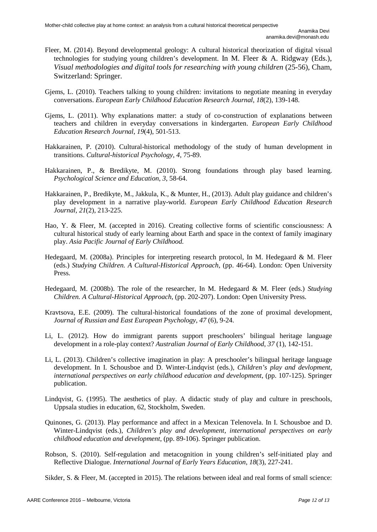- Fleer, M. (2014). Beyond developmental geology: A cultural historical theorization of digital visual technologies for studying young children's development. In M. Fleer & A. Ridgway (Eds.), *Visual methodologies and digital tools for researching with young children* (25-56), Cham, Switzerland: Springer.
- Gjems, L. (2010). Teachers talking to young children: invitations to negotiate meaning in everyday conversations. *European Early Childhood Education Research Journal*, *18*(2), 139-148.
- Gjems, L. (2011). Why explanations matter: a study of co-construction of explanations between teachers and children in everyday conversations in kindergarten. *European Early Childhood Education Research Journal*, *19*(4), 501-513.
- Hakkarainen, P. (2010). Cultural-historical methodology of the study of human development in transitions. *Cultural-historical Psychology*, *4*, 75-89.
- Hakkarainen, P., & Bredikyte, M. (2010). Strong foundations through play based learning. *Psychological Science and Education*, *3*, 58-64.
- Hakkarainen, P., Bredikyte, M., Jakkula, K., & Munter, H., (2013). Adult play guidance and children's play development in a narrative play-world. *European Early Childhood Education Research Journal*, *21*(2), 213-225.
- Hao, Y. & Fleer, M. (accepted in 2016). Creating collective forms of scientific consciousness: A cultural historical study of early learning about Earth and space in the context of family imaginary play. *Asia Pacific Journal of Early Childhood.*
- Hedegaard, M. (2008a). Principles for interpreting research protocol, In M. Hedegaard & M. Fleer (eds.) *Studying Children. A Cultural-Historical Approach,* (pp. 46-64). London: Open University Press.
- Hedegaard, M. (2008b). The role of the researcher, In M. Hedegaard & M. Fleer (eds.) *Studying Children. A Cultural-Historical Approach*, (pp. 202-207). London: Open University Press.
- Kravtsova, E.E. (2009). The cultural-historical foundations of the zone of proximal development, *Journal of Russian and East European Psychology*, *47* (6), 9-24.
- Li, L. (2012). How do immigrant parents support preschoolers' bilingual heritage language development in a role-play context? *Australian Journal of Early Childhood*, *37* (1), 142-151.
- Li, L. (2013). Children's collective imagination in play: A preschooler's bilingual heritage language development. In I. Schousboe and D. Winter-Lindqvist (eds.), *Children's play and devlopment, international perspectives on early childhood education and development*, (pp. 107-125). Springer publication.
- Lindqvist, G. (1995). The aesthetics of play. A didactic study of play and culture in preschools, Uppsala studies in education, 62, Stockholm, Sweden.
- Quinones, G. (2013). Play performance and affect in a Mexican Telenovela. In I. Schousboe and D. Winter-Lindqvist (eds.), *Children's play and development, international perspectives on early childhood education and development*, (pp. 89-106). Springer publication.
- Robson, S. (2010). Self-regulation and metacognition in young children's self-initiated play and Reflective Dialogue. *International Journal of Early Years Education*, *18*(3), 227-241.

Sikder, S. & Fleer, M. (accepted in 2015). The relations between ideal and real forms of small science: